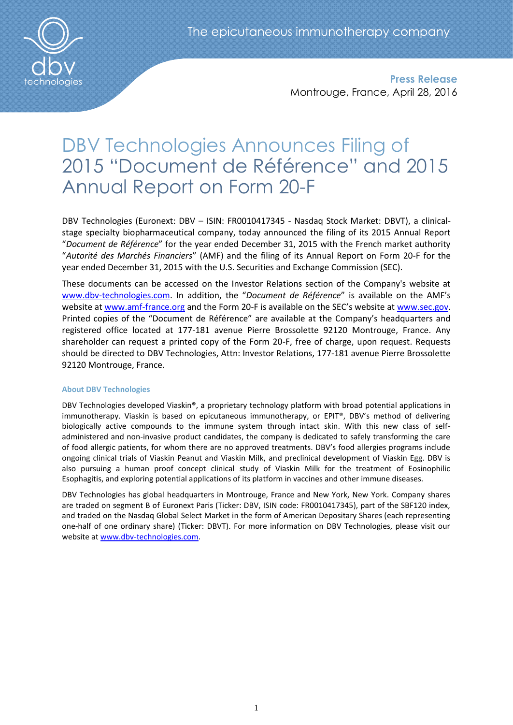

**Press Release** Montrouge, France, April 28, 2016

# DBV Technologies Announces Filing of 2015 "Document de Référence" and 2015 Annual Report on Form 20-F

DBV Technologies (Euronext: DBV – ISIN: FR0010417345 - Nasdaq Stock Market: DBVT), a clinicalstage specialty biopharmaceutical company, today announced the filing of its 2015 Annual Report "*Document de Référence*" for the year ended December 31, 2015 with the French market authority "*Autorité des Marchés Financiers*" (AMF) and the filing of its Annual Report on Form 20-F for the year ended December 31, 2015 with the U.S. Securities and Exchange Commission (SEC).

These documents can be accessed on the Investor Relations section of the Company's website at [www.dbv-technologies.com](http://www.dbv-technologies.com/). In addition, the "*Document de Référence*" is available on the AMF's website at [www.amf-france.org](http://www.amf-france.org/) and the Form 20-F is available on the SEC's website at [www.sec.gov.](http://www.sec.gov/) Printed copies of the "Document de Référence" are available at the Company's headquarters and registered office located at 177-181 avenue Pierre Brossolette 92120 Montrouge, France. Any shareholder can request a printed copy of the Form 20-F, free of charge, upon request. Requests should be directed to DBV Technologies, Attn: Investor Relations, 177-181 avenue Pierre Brossolette 92120 Montrouge, France.

## **About DBV Technologies**

DBV Technologies developed Viaskin®, a proprietary technology platform with broad potential applications in immunotherapy. Viaskin is based on epicutaneous immunotherapy, or EPIT®, DBV's method of delivering biologically active compounds to the immune system through intact skin. With this new class of selfadministered and non-invasive product candidates, the company is dedicated to safely transforming the care of food allergic patients, for whom there are no approved treatments. DBV's food allergies programs include ongoing clinical trials of Viaskin Peanut and Viaskin Milk, and preclinical development of Viaskin Egg. DBV is also pursuing a human proof concept clinical study of Viaskin Milk for the treatment of Eosinophilic Esophagitis, and exploring potential applications of its platform in vaccines and other immune diseases.

DBV Technologies has global headquarters in Montrouge, France and New York, New York. Company shares are traded on segment B of Euronext Paris (Ticker: DBV, ISIN code: FR0010417345), part of the SBF120 index, and traded on the Nasdaq Global Select Market in the form of American Depositary Shares (each representing one-half of one ordinary share) (Ticker: DBVT). For more information on DBV Technologies, please visit our website a[t www.dbv-technologies.com.](http://www.dbv-technologies.com/)